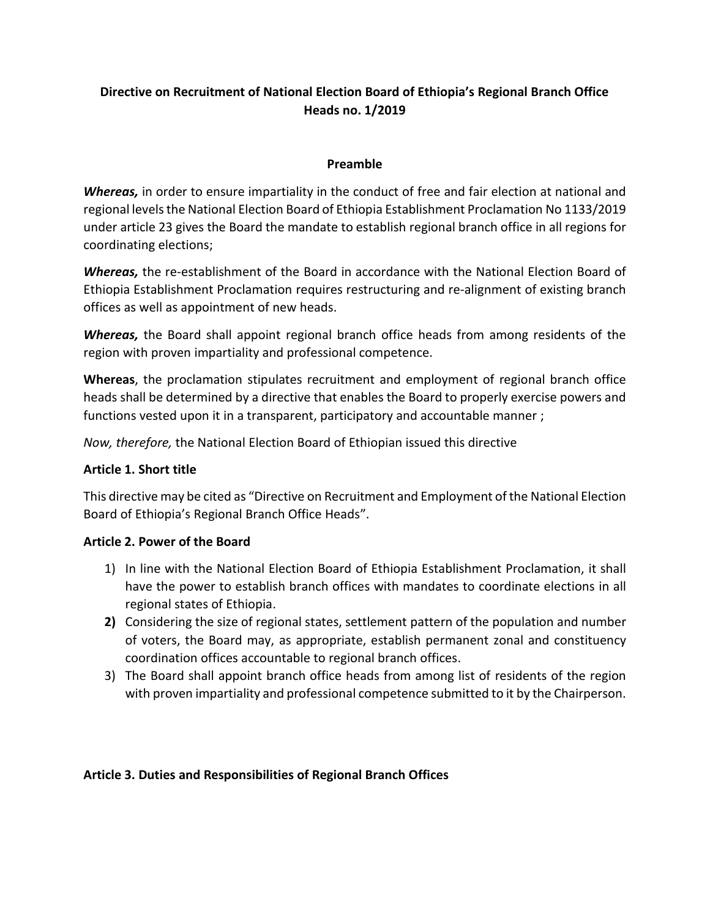# **Directive on Recruitment of National Election Board of Ethiopia's Regional Branch Office Heads no. 1/2019**

## **Preamble**

*Whereas,* in order to ensure impartiality in the conduct of free and fair election at national and regional levels the National Election Board of Ethiopia Establishment Proclamation No 1133/2019 under article 23 gives the Board the mandate to establish regional branch office in all regions for coordinating elections;

*Whereas,* the re-establishment of the Board in accordance with the National Election Board of Ethiopia Establishment Proclamation requires restructuring and re-alignment of existing branch offices as well as appointment of new heads.

*Whereas,* the Board shall appoint regional branch office heads from among residents of the region with proven impartiality and professional competence.

**Whereas**, the proclamation stipulates recruitment and employment of regional branch office heads shall be determined by a directive that enables the Board to properly exercise powers and functions vested upon it in a transparent, participatory and accountable manner ;

*Now, therefore,* the National Election Board of Ethiopian issued this directive

# **Article 1. Short title**

This directive may be cited as "Directive on Recruitment and Employment of the National Election Board of Ethiopia's Regional Branch Office Heads".

## **Article 2. Power of the Board**

- 1) In line with the National Election Board of Ethiopia Establishment Proclamation, it shall have the power to establish branch offices with mandates to coordinate elections in all regional states of Ethiopia.
- **2)** Considering the size of regional states, settlement pattern of the population and number of voters, the Board may, as appropriate, establish permanent zonal and constituency coordination offices accountable to regional branch offices.
- 3) The Board shall appoint branch office heads from among list of residents of the region with proven impartiality and professional competence submitted to it by the Chairperson.

# **Article 3. Duties and Responsibilities of Regional Branch Offices**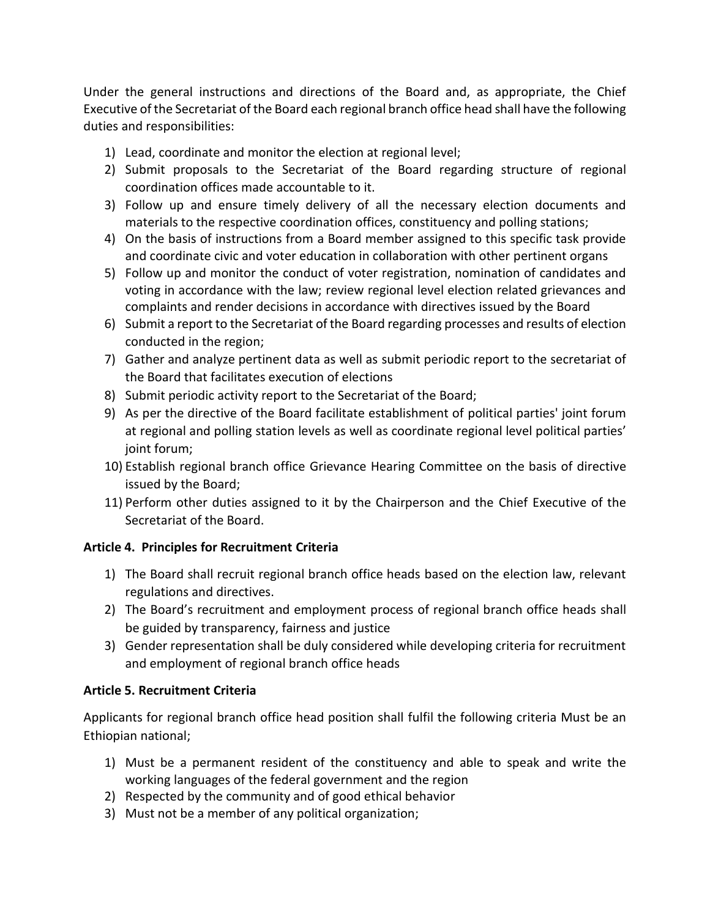Under the general instructions and directions of the Board and, as appropriate, the Chief Executive of the Secretariat of the Board each regional branch office head shall have the following duties and responsibilities:

- 1) Lead, coordinate and monitor the election at regional level;
- 2) Submit proposals to the Secretariat of the Board regarding structure of regional coordination offices made accountable to it.
- 3) Follow up and ensure timely delivery of all the necessary election documents and materials to the respective coordination offices, constituency and polling stations;
- 4) On the basis of instructions from a Board member assigned to this specific task provide and coordinate civic and voter education in collaboration with other pertinent organs
- 5) Follow up and monitor the conduct of voter registration, nomination of candidates and voting in accordance with the law; review regional level election related grievances and complaints and render decisions in accordance with directives issued by the Board
- 6) Submit a report to the Secretariat of the Board regarding processes and results of election conducted in the region;
- 7) Gather and analyze pertinent data as well as submit periodic report to the secretariat of the Board that facilitates execution of elections
- 8) Submit periodic activity report to the Secretariat of the Board;
- 9) As per the directive of the Board facilitate establishment of political parties' joint forum at regional and polling station levels as well as coordinate regional level political parties' joint forum;
- 10) Establish regional branch office Grievance Hearing Committee on the basis of directive issued by the Board;
- 11) Perform other duties assigned to it by the Chairperson and the Chief Executive of the Secretariat of the Board.

# **Article 4. Principles for Recruitment Criteria**

- 1) The Board shall recruit regional branch office heads based on the election law, relevant regulations and directives.
- 2) The Board's recruitment and employment process of regional branch office heads shall be guided by transparency, fairness and justice
- 3) Gender representation shall be duly considered while developing criteria for recruitment and employment of regional branch office heads

# **Article 5. Recruitment Criteria**

Applicants for regional branch office head position shall fulfil the following criteria Must be an Ethiopian national;

- 1) Must be a permanent resident of the constituency and able to speak and write the working languages of the federal government and the region
- 2) Respected by the community and of good ethical behavior
- 3) Must not be a member of any political organization;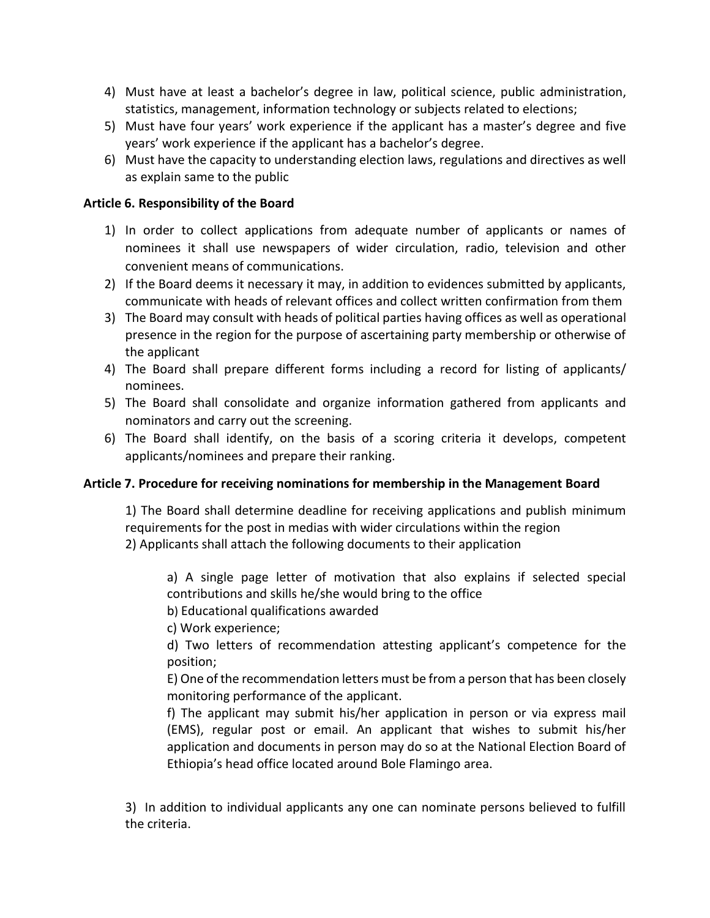- 4) Must have at least a bachelor's degree in law, political science, public administration, statistics, management, information technology or subjects related to elections;
- 5) Must have four years' work experience if the applicant has a master's degree and five years' work experience if the applicant has a bachelor's degree.
- 6) Must have the capacity to understanding election laws, regulations and directives as well as explain same to the public

## **Article 6. Responsibility of the Board**

- 1) In order to collect applications from adequate number of applicants or names of nominees it shall use newspapers of wider circulation, radio, television and other convenient means of communications.
- 2) If the Board deems it necessary it may, in addition to evidences submitted by applicants, communicate with heads of relevant offices and collect written confirmation from them
- 3) The Board may consult with heads of political parties having offices as well as operational presence in the region for the purpose of ascertaining party membership or otherwise of the applicant
- 4) The Board shall prepare different forms including a record for listing of applicants/ nominees.
- 5) The Board shall consolidate and organize information gathered from applicants and nominators and carry out the screening.
- 6) The Board shall identify, on the basis of a scoring criteria it develops, competent applicants/nominees and prepare their ranking.

## **Article 7. Procedure for receiving nominations for membership in the Management Board**

1) The Board shall determine deadline for receiving applications and publish minimum requirements for the post in medias with wider circulations within the region 2) Applicants shall attach the following documents to their application

a) A single page letter of motivation that also explains if selected special contributions and skills he/she would bring to the office

b) Educational qualifications awarded

c) Work experience;

d) Two letters of recommendation attesting applicant's competence for the position;

E) One of the recommendation letters must be from a person that has been closely monitoring performance of the applicant.

f) The applicant may submit his/her application in person or via express mail (EMS), regular post or email. An applicant that wishes to submit his/her application and documents in person may do so at the National Election Board of Ethiopia's head office located around Bole Flamingo area.

3) In addition to individual applicants any one can nominate persons believed to fulfill the criteria.